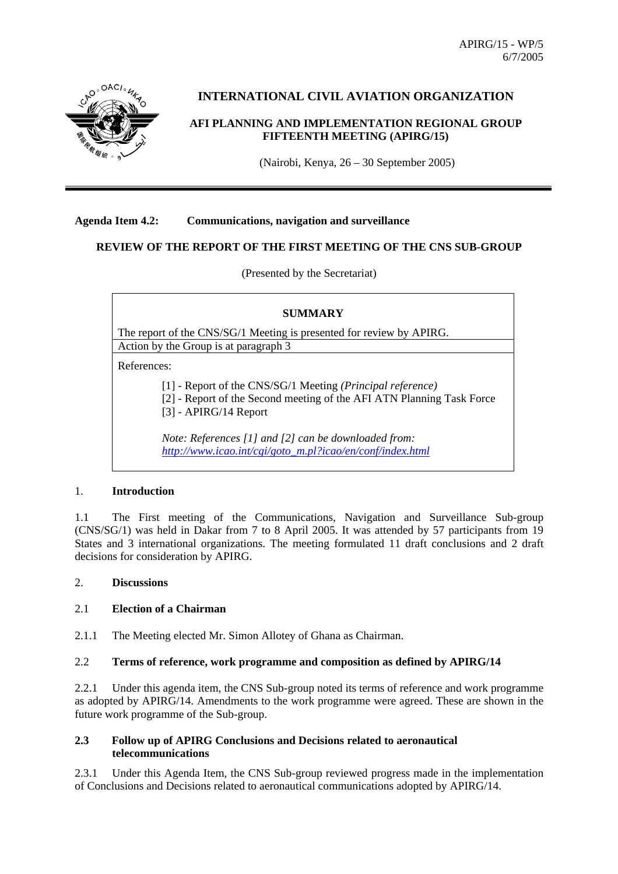APIRG/15 - WP/5 6/7/2005



# **INTERNATIONAL CIVIL AVIATION ORGANIZATION**

## **AFI PLANNING AND IMPLEMENTATION REGIONAL GROUP FIFTEENTH MEETING (APIRG/15)**

(Nairobi, Kenya, 26 – 30 September 2005)

#### **Agenda Item 4.2: Communications, navigation and surveillance**

### **REVIEW OF THE REPORT OF THE FIRST MEETING OF THE CNS SUB-GROUP**

(Presented by the Secretariat)

| <b>SUMMARY</b>                                                                                                                                                            |
|---------------------------------------------------------------------------------------------------------------------------------------------------------------------------|
| The report of the CNS/SG/1 Meeting is presented for review by APIRG.                                                                                                      |
| Action by the Group is at paragraph 3                                                                                                                                     |
| References:                                                                                                                                                               |
| $[1]$ - Report of the CNS/SG/1 Meeting ( <i>Principal reference</i> )<br>[2] - Report of the Second meeting of the AFI ATN Planning Task Force<br>$[3]$ - APIRG/14 Report |
| Note: References [1] and [2] can be downloaded from:<br>http://www.icao.int/cgi/goto_m.pl?icao/en/conf/index.html                                                         |

#### 1. **Introduction**

1.1 The First meeting of the Communications, Navigation and Surveillance Sub-group (CNS/SG/1) was held in Dakar from 7 to 8 April 2005. It was attended by 57 participants from 19 States and 3 international organizations. The meeting formulated 11 draft conclusions and 2 draft decisions for consideration by APIRG.

### 2. **Discussions**

#### 2.1 **Election of a Chairman**

2.1.1 The Meeting elected Mr. Simon Allotey of Ghana as Chairman.

#### 2.2 **Terms of reference, work programme and composition as defined by APIRG/14**

2.2.1 Under this agenda item, the CNS Sub-group noted its terms of reference and work programme as adopted by APIRG/14. Amendments to the work programme were agreed. These are shown in the future work programme of the Sub-group.

#### **2.3 Follow up of APIRG Conclusions and Decisions related to aeronautical telecommunications**

2.3.1 Under this Agenda Item, the CNS Sub-group reviewed progress made in the implementation of Conclusions and Decisions related to aeronautical communications adopted by APIRG/14.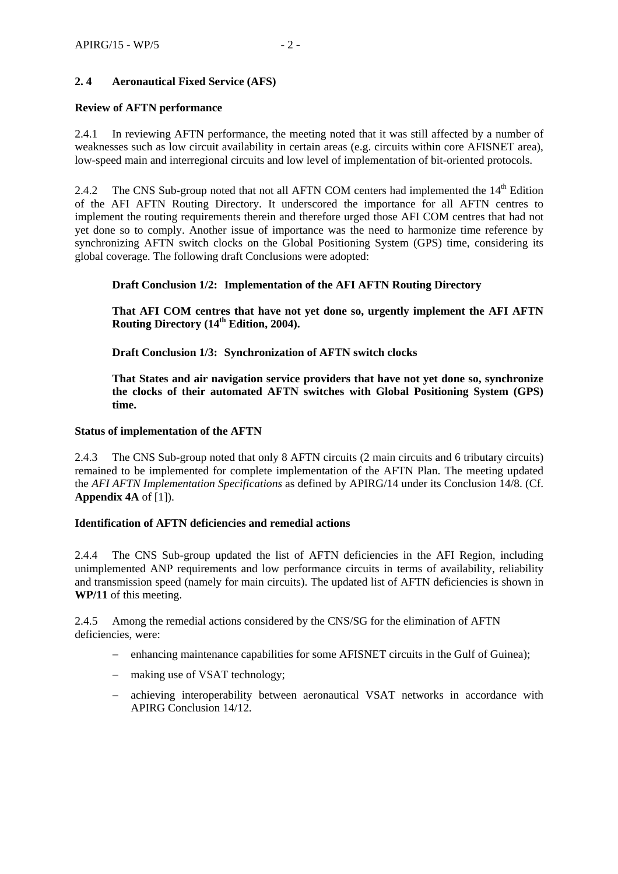## **2. 4 Aeronautical Fixed Service (AFS)**

#### **Review of AFTN performance**

2.4.1 In reviewing AFTN performance, the meeting noted that it was still affected by a number of weaknesses such as low circuit availability in certain areas (e.g. circuits within core AFISNET area), low-speed main and interregional circuits and low level of implementation of bit-oriented protocols.

2.4.2 The CNS Sub-group noted that not all AFTN COM centers had implemented the  $14<sup>th</sup>$  Edition of the AFI AFTN Routing Directory. It underscored the importance for all AFTN centres to implement the routing requirements therein and therefore urged those AFI COM centres that had not yet done so to comply. Another issue of importance was the need to harmonize time reference by synchronizing AFTN switch clocks on the Global Positioning System (GPS) time, considering its global coverage. The following draft Conclusions were adopted:

#### **Draft Conclusion 1/2: Implementation of the AFI AFTN Routing Directory**

**That AFI COM centres that have not yet done so, urgently implement the AFI AFTN Routing Directory (14th Edition, 2004).** 

**Draft Conclusion 1/3: Synchronization of AFTN switch clocks** 

**That States and air navigation service providers that have not yet done so, synchronize the clocks of their automated AFTN switches with Global Positioning System (GPS) time.** 

#### **Status of implementation of the AFTN**

2.4.3 The CNS Sub-group noted that only 8 AFTN circuits (2 main circuits and 6 tributary circuits) remained to be implemented for complete implementation of the AFTN Plan. The meeting updated the *AFI AFTN Implementation Specifications* as defined by APIRG/14 under its Conclusion 14/8. (Cf. **Appendix 4A** of [1]).

#### **Identification of AFTN deficiencies and remedial actions**

2.4.4 The CNS Sub-group updated the list of AFTN deficiencies in the AFI Region, including unimplemented ANP requirements and low performance circuits in terms of availability, reliability and transmission speed (namely for main circuits). The updated list of AFTN deficiencies is shown in **WP/11** of this meeting.

2.4.5Among the remedial actions considered by the CNS/SG for the elimination of AFTN deficiencies, were:

- − enhancing maintenance capabilities for some AFISNET circuits in the Gulf of Guinea);
- − making use of VSAT technology;
- − achieving interoperability between aeronautical VSAT networks in accordance with APIRG Conclusion 14/12.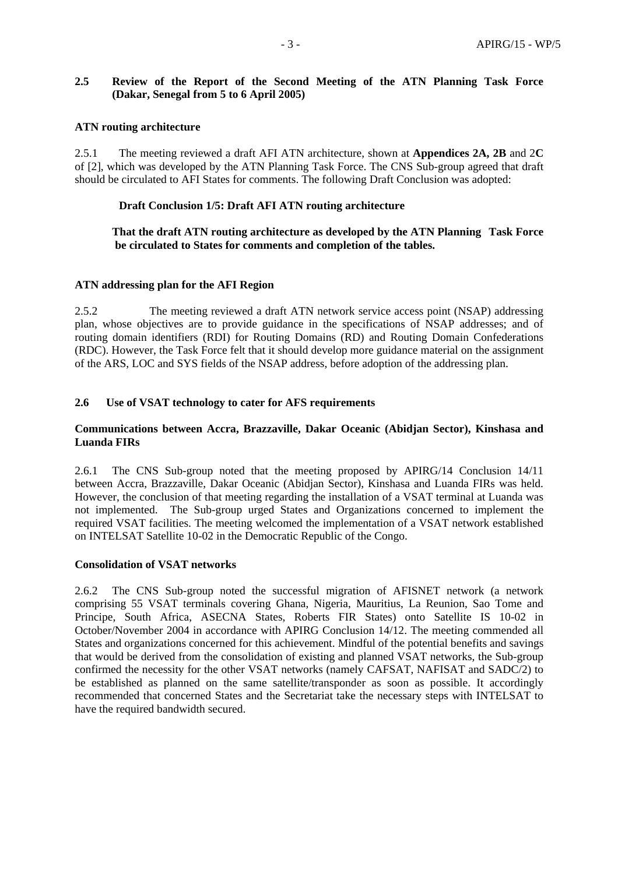### **2.5 Review of the Report of the Second Meeting of the ATN Planning Task Force (Dakar, Senegal from 5 to 6 April 2005)**

### **ATN routing architecture**

2.5.1The meeting reviewed a draft AFI ATN architecture, shown at **Appendices 2A, 2B** and 2**C** of [2], which was developed by the ATN Planning Task Force. The CNS Sub-group agreed that draft should be circulated to AFI States for comments. The following Draft Conclusion was adopted:

### **Draft Conclusion 1/5: Draft AFI ATN routing architecture**

 **That the draft ATN routing architecture as developed by the ATN Planning Task Force be circulated to States for comments and completion of the tables.** 

#### **ATN addressing plan for the AFI Region**

2.5.2 The meeting reviewed a draft ATN network service access point (NSAP) addressing plan, whose objectives are to provide guidance in the specifications of NSAP addresses; and of routing domain identifiers (RDI) for Routing Domains (RD) and Routing Domain Confederations (RDC). However, the Task Force felt that it should develop more guidance material on the assignment of the ARS, LOC and SYS fields of the NSAP address, before adoption of the addressing plan.

### **2.6 Use of VSAT technology to cater for AFS requirements**

### **Communications between Accra, Brazzaville, Dakar Oceanic (Abidjan Sector), Kinshasa and Luanda FIRs**

2.6.1The CNS Sub-group noted that the meeting proposed by APIRG/14 Conclusion 14/11 between Accra, Brazzaville, Dakar Oceanic (Abidjan Sector), Kinshasa and Luanda FIRs was held. However, the conclusion of that meeting regarding the installation of a VSAT terminal at Luanda was not implemented. The Sub-group urged States and Organizations concerned to implement the required VSAT facilities. The meeting welcomed the implementation of a VSAT network established on INTELSAT Satellite 10-02 in the Democratic Republic of the Congo.

#### **Consolidation of VSAT networks**

2.6.2 The CNS Sub-group noted the successful migration of AFISNET network (a network comprising 55 VSAT terminals covering Ghana, Nigeria, Mauritius, La Reunion, Sao Tome and Principe, South Africa, ASECNA States, Roberts FIR States) onto Satellite IS 10-02 in October/November 2004 in accordance with APIRG Conclusion 14/12. The meeting commended all States and organizations concerned for this achievement. Mindful of the potential benefits and savings that would be derived from the consolidation of existing and planned VSAT networks, the Sub-group confirmed the necessity for the other VSAT networks (namely CAFSAT, NAFISAT and SADC/2) to be established as planned on the same satellite/transponder as soon as possible. It accordingly recommended that concerned States and the Secretariat take the necessary steps with INTELSAT to have the required bandwidth secured.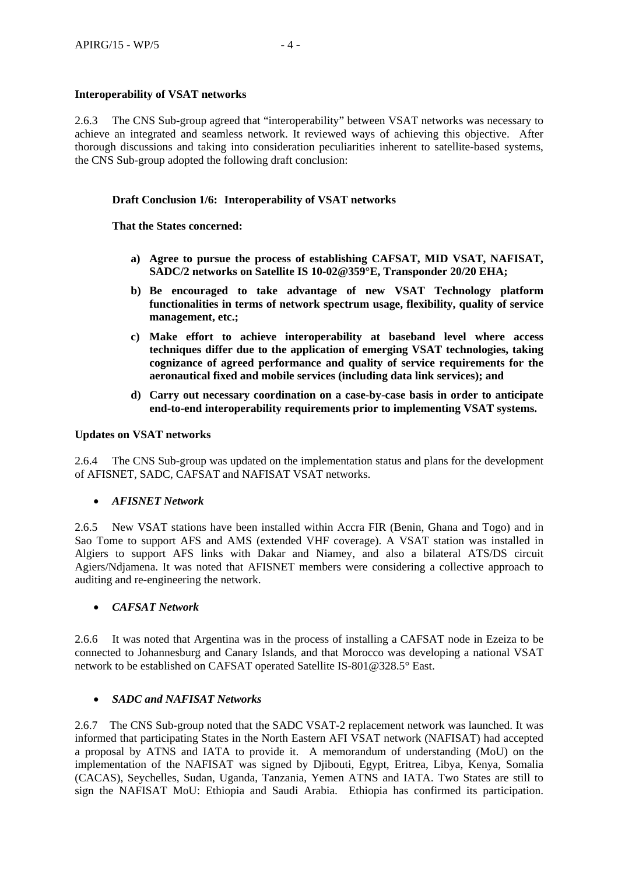### **Interoperability of VSAT networks**

2.6.3The CNS Sub-group agreed that "interoperability" between VSAT networks was necessary to achieve an integrated and seamless network. It reviewed ways of achieving this objective. After thorough discussions and taking into consideration peculiarities inherent to satellite-based systems, the CNS Sub-group adopted the following draft conclusion:

### **Draft Conclusion 1/6: Interoperability of VSAT networks**

### **That the States concerned:**

- **a) Agree to pursue the process of establishing CAFSAT, MID VSAT, NAFISAT, SADC/2 networks on Satellite IS 10-02@359°E, Transponder 20/20 EHA;**
- **b) Be encouraged to take advantage of new VSAT Technology platform functionalities in terms of network spectrum usage, flexibility, quality of service management, etc.;**
- **c) Make effort to achieve interoperability at baseband level where access techniques differ due to the application of emerging VSAT technologies, taking cognizance of agreed performance and quality of service requirements for the aeronautical fixed and mobile services (including data link services); and**
- **d) Carry out necessary coordination on a case-by-case basis in order to anticipate end-to-end interoperability requirements prior to implementing VSAT systems.**

### **Updates on VSAT networks**

2.6.4 The CNS Sub-group was updated on the implementation status and plans for the development of AFISNET, SADC, CAFSAT and NAFISAT VSAT networks.

#### • *AFISNET Network*

2.6.5 New VSAT stations have been installed within Accra FIR (Benin, Ghana and Togo) and in Sao Tome to support AFS and AMS (extended VHF coverage). A VSAT station was installed in Algiers to support AFS links with Dakar and Niamey, and also a bilateral ATS/DS circuit Agiers/Ndjamena. It was noted that AFISNET members were considering a collective approach to auditing and re-engineering the network.

#### • *CAFSAT Network*

2.6.6It was noted that Argentina was in the process of installing a CAFSAT node in Ezeiza to be connected to Johannesburg and Canary Islands, and that Morocco was developing a national VSAT network to be established on CAFSAT operated Satellite IS-801@328.5° East.

### • *SADC and NAFISAT Networks*

2.6.7 The CNS Sub-group noted that the SADC VSAT-2 replacement network was launched. It was informed that participating States in the North Eastern AFI VSAT network (NAFISAT) had accepted a proposal by ATNS and IATA to provide it. A memorandum of understanding (MoU) on the implementation of the NAFISAT was signed by Djibouti, Egypt, Eritrea, Libya, Kenya, Somalia (CACAS), Seychelles, Sudan, Uganda, Tanzania, Yemen ATNS and IATA. Two States are still to sign the NAFISAT MoU: Ethiopia and Saudi Arabia. Ethiopia has confirmed its participation.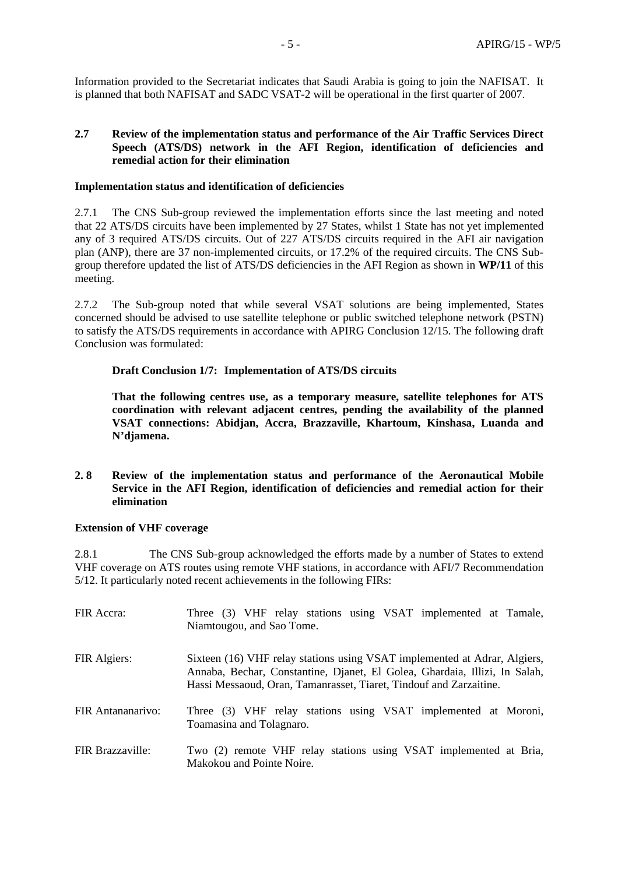Information provided to the Secretariat indicates that Saudi Arabia is going to join the NAFISAT. It is planned that both NAFISAT and SADC VSAT-2 will be operational in the first quarter of 2007.

### **2.7 Review of the implementation status and performance of the Air Traffic Services Direct Speech (ATS/DS) network in the AFI Region, identification of deficiencies and remedial action for their elimination**

#### **Implementation status and identification of deficiencies**

2.7.1 The CNS Sub-group reviewed the implementation efforts since the last meeting and noted that 22 ATS/DS circuits have been implemented by 27 States, whilst 1 State has not yet implemented any of 3 required ATS/DS circuits. Out of 227 ATS/DS circuits required in the AFI air navigation plan (ANP), there are 37 non-implemented circuits, or 17.2% of the required circuits. The CNS Subgroup therefore updated the list of ATS/DS deficiencies in the AFI Region as shown in **WP/11** of this meeting.

2.7.2 The Sub-group noted that while several VSAT solutions are being implemented, States concerned should be advised to use satellite telephone or public switched telephone network (PSTN) to satisfy the ATS/DS requirements in accordance with APIRG Conclusion 12/15. The following draft Conclusion was formulated:

#### **Draft Conclusion 1/7: Implementation of ATS/DS circuits**

**That the following centres use, as a temporary measure, satellite telephones for ATS coordination with relevant adjacent centres, pending the availability of the planned VSAT connections: Abidjan, Accra, Brazzaville, Khartoum, Kinshasa, Luanda and N'djamena.** 

#### **2. 8 Review of the implementation status and performance of the Aeronautical Mobile Service in the AFI Region, identification of deficiencies and remedial action for their elimination**

#### **Extension of VHF coverage**

2.8.1 The CNS Sub-group acknowledged the efforts made by a number of States to extend VHF coverage on ATS routes using remote VHF stations, in accordance with AFI/7 Recommendation 5/12. It particularly noted recent achievements in the following FIRs:

| FIR Accra:        | Three (3) VHF relay stations using VSAT implemented at Tamale,<br>Niamtougou, and Sao Tome.                                                                                                                                   |
|-------------------|-------------------------------------------------------------------------------------------------------------------------------------------------------------------------------------------------------------------------------|
| FIR Algiers:      | Sixteen (16) VHF relay stations using VSAT implemented at Adrar, Algiers,<br>Annaba, Bechar, Constantine, Djanet, El Golea, Ghardaia, Illizi, In Salah,<br>Hassi Messaoud, Oran, Tamanrasset, Tiaret, Tindouf and Zarzaitine. |
| FIR Antananarivo: | Three (3) VHF relay stations using VSAT implemented at Moroni,<br>Toamasina and Tolagnaro.                                                                                                                                    |
| FIR Brazzaville:  | Two (2) remote VHF relay stations using VSAT implemented at Bria,<br>Makokou and Pointe Noire.                                                                                                                                |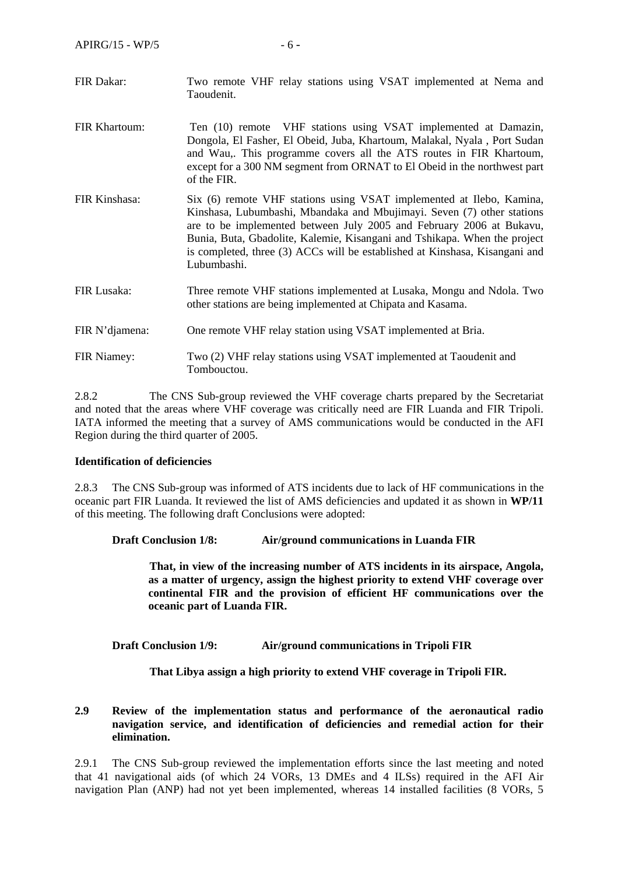- FIR Dakar: Two remote VHF relay stations using VSAT implemented at Nema and Taoudenit.
- FIR Khartoum: Ten (10) remote VHF stations using VSAT implemented at Damazin, Dongola, El Fasher, El Obeid, Juba, Khartoum, Malakal, Nyala , Port Sudan and Wau,. This programme covers all the ATS routes in FIR Khartoum, except for a 300 NM segment from ORNAT to El Obeid in the northwest part of the FIR.
- FIR Kinshasa: Six (6) remote VHF stations using VSAT implemented at Ilebo, Kamina, Kinshasa, Lubumbashi, Mbandaka and Mbujimayi. Seven (7) other stations are to be implemented between July 2005 and February 2006 at Bukavu, Bunia, Buta, Gbadolite, Kalemie, Kisangani and Tshikapa. When the project is completed, three (3) ACCs will be established at Kinshasa, Kisangani and Lubumbashi.
- FIR Lusaka: Three remote VHF stations implemented at Lusaka, Mongu and Ndola. Two other stations are being implemented at Chipata and Kasama.
- FIR N'djamena: One remote VHF relay station using VSAT implemented at Bria.
- FIR Niamey: Two (2) VHF relay stations using VSAT implemented at Taoudenit and Tombouctou.

2.8.2 The CNS Sub-group reviewed the VHF coverage charts prepared by the Secretariat and noted that the areas where VHF coverage was critically need are FIR Luanda and FIR Tripoli. IATA informed the meeting that a survey of AMS communications would be conducted in the AFI Region during the third quarter of 2005.

#### **Identification of deficiencies**

2.8.3 The CNS Sub-group was informed of ATS incidents due to lack of HF communications in the oceanic part FIR Luanda. It reviewed the list of AMS deficiencies and updated it as shown in **WP/11**  of this meeting. The following draft Conclusions were adopted:

#### **Draft Conclusion 1/8: Air/ground communications in Luanda FIR**

 **That, in view of the increasing number of ATS incidents in its airspace, Angola, as a matter of urgency, assign the highest priority to extend VHF coverage over continental FIR and the provision of efficient HF communications over the oceanic part of Luanda FIR.** 

**Draft Conclusion 1/9: Air/ground communications in Tripoli FIR** 

 **That Libya assign a high priority to extend VHF coverage in Tripoli FIR.** 

#### **2.9 Review of the implementation status and performance of the aeronautical radio navigation service, and identification of deficiencies and remedial action for their elimination.**

2.9.1 The CNS Sub-group reviewed the implementation efforts since the last meeting and noted that 41 navigational aids (of which 24 VORs, 13 DMEs and 4 ILSs) required in the AFI Air navigation Plan (ANP) had not yet been implemented, whereas 14 installed facilities (8 VORs, 5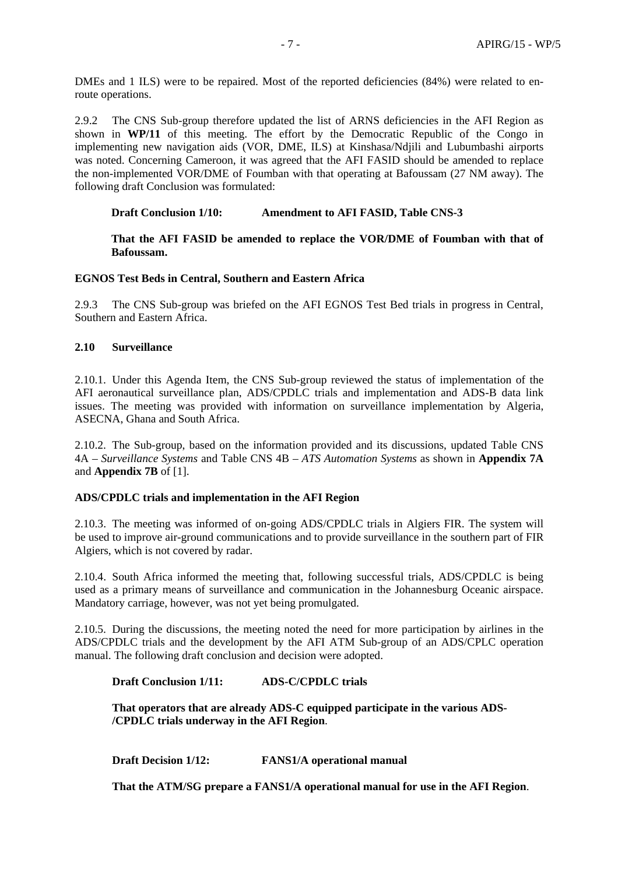DMEs and 1 ILS) were to be repaired. Most of the reported deficiencies  $(84%)$  were related to enroute operations.

2.9.2 The CNS Sub-group therefore updated the list of ARNS deficiencies in the AFI Region as shown in **WP/11** of this meeting. The effort by the Democratic Republic of the Congo in implementing new navigation aids (VOR, DME, ILS) at Kinshasa/Ndjili and Lubumbashi airports was noted. Concerning Cameroon, it was agreed that the AFI FASID should be amended to replace the non-implemented VOR/DME of Foumban with that operating at Bafoussam (27 NM away). The following draft Conclusion was formulated:

**Draft Conclusion 1/10: Amendment to AFI FASID, Table CNS-3** 

**That the AFI FASID be amended to replace the VOR/DME of Foumban with that of Bafoussam.** 

#### **EGNOS Test Beds in Central, Southern and Eastern Africa**

2.9.3 The CNS Sub-group was briefed on the AFI EGNOS Test Bed trials in progress in Central, Southern and Eastern Africa.

#### **2.10 Surveillance**

2.10.1. Under this Agenda Item, the CNS Sub-group reviewed the status of implementation of the AFI aeronautical surveillance plan, ADS/CPDLC trials and implementation and ADS-B data link issues. The meeting was provided with information on surveillance implementation by Algeria, ASECNA, Ghana and South Africa.

2.10.2. The Sub-group, based on the information provided and its discussions, updated Table CNS 4A – *Surveillance Systems* and Table CNS 4B – *ATS Automation Systems* as shown in **Appendix 7A**  and **Appendix 7B** of [1].

#### **ADS/CPDLC trials and implementation in the AFI Region**

2.10.3. The meeting was informed of on-going ADS/CPDLC trials in Algiers FIR. The system will be used to improve air-ground communications and to provide surveillance in the southern part of FIR Algiers, which is not covered by radar.

2.10.4. South Africa informed the meeting that, following successful trials, ADS/CPDLC is being used as a primary means of surveillance and communication in the Johannesburg Oceanic airspace. Mandatory carriage, however, was not yet being promulgated.

2.10.5. During the discussions, the meeting noted the need for more participation by airlines in the ADS/CPDLC trials and the development by the AFI ATM Sub-group of an ADS/CPLC operation manual. The following draft conclusion and decision were adopted.

#### **Draft Conclusion 1/11: ADS-C/CPDLC trials**

**That operators that are already ADS-C equipped participate in the various ADS- /CPDLC trials underway in the AFI Region**.

**Draft Decision 1/12: FANS1/A operational manual** 

**That the ATM/SG prepare a FANS1/A operational manual for use in the AFI Region**.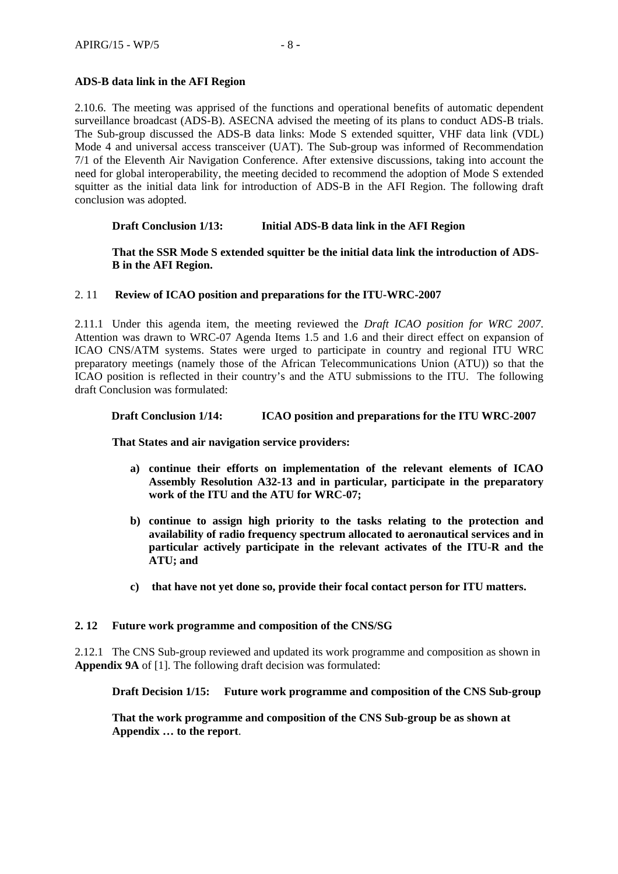### **ADS-B data link in the AFI Region**

2.10.6. The meeting was apprised of the functions and operational benefits of automatic dependent surveillance broadcast (ADS-B). ASECNA advised the meeting of its plans to conduct ADS-B trials. The Sub-group discussed the ADS-B data links: Mode S extended squitter, VHF data link (VDL) Mode 4 and universal access transceiver (UAT). The Sub-group was informed of Recommendation 7/1 of the Eleventh Air Navigation Conference. After extensive discussions, taking into account the need for global interoperability, the meeting decided to recommend the adoption of Mode S extended squitter as the initial data link for introduction of ADS-B in the AFI Region. The following draft conclusion was adopted.

### **Draft Conclusion 1/13: Initial ADS-B data link in the AFI Region**

**That the SSR Mode S extended squitter be the initial data link the introduction of ADS-B in the AFI Region.** 

#### 2. 11 **Review of ICAO position and preparations for the ITU-WRC-2007**

2.11.1 Under this agenda item, the meeting reviewed the *Draft ICAO position for WRC 2007*. Attention was drawn to WRC-07 Agenda Items 1.5 and 1.6 and their direct effect on expansion of ICAO CNS/ATM systems. States were urged to participate in country and regional ITU WRC preparatory meetings (namely those of the African Telecommunications Union (ATU)) so that the ICAO position is reflected in their country's and the ATU submissions to the ITU. The following draft Conclusion was formulated:

### **Draft Conclusion 1/14: ICAO position and preparations for the ITU WRC-2007**

**That States and air navigation service providers:** 

- **a) continue their efforts on implementation of the relevant elements of ICAO Assembly Resolution A32-13 and in particular, participate in the preparatory work of the ITU and the ATU for WRC-07;**
- **b) continue to assign high priority to the tasks relating to the protection and availability of radio frequency spectrum allocated to aeronautical services and in particular actively participate in the relevant activates of the ITU-R and the ATU; and**
- **c) that have not yet done so, provide their focal contact person for ITU matters.**

#### **2. 12 Future work programme and composition of the CNS/SG**

2.12.1 The CNS Sub-group reviewed and updated its work programme and composition as shown in **Appendix 9A** of [1]. The following draft decision was formulated:

**Draft Decision 1/15: Future work programme and composition of the CNS Sub-group** 

**That the work programme and composition of the CNS Sub-group be as shown at Appendix … to the report**.